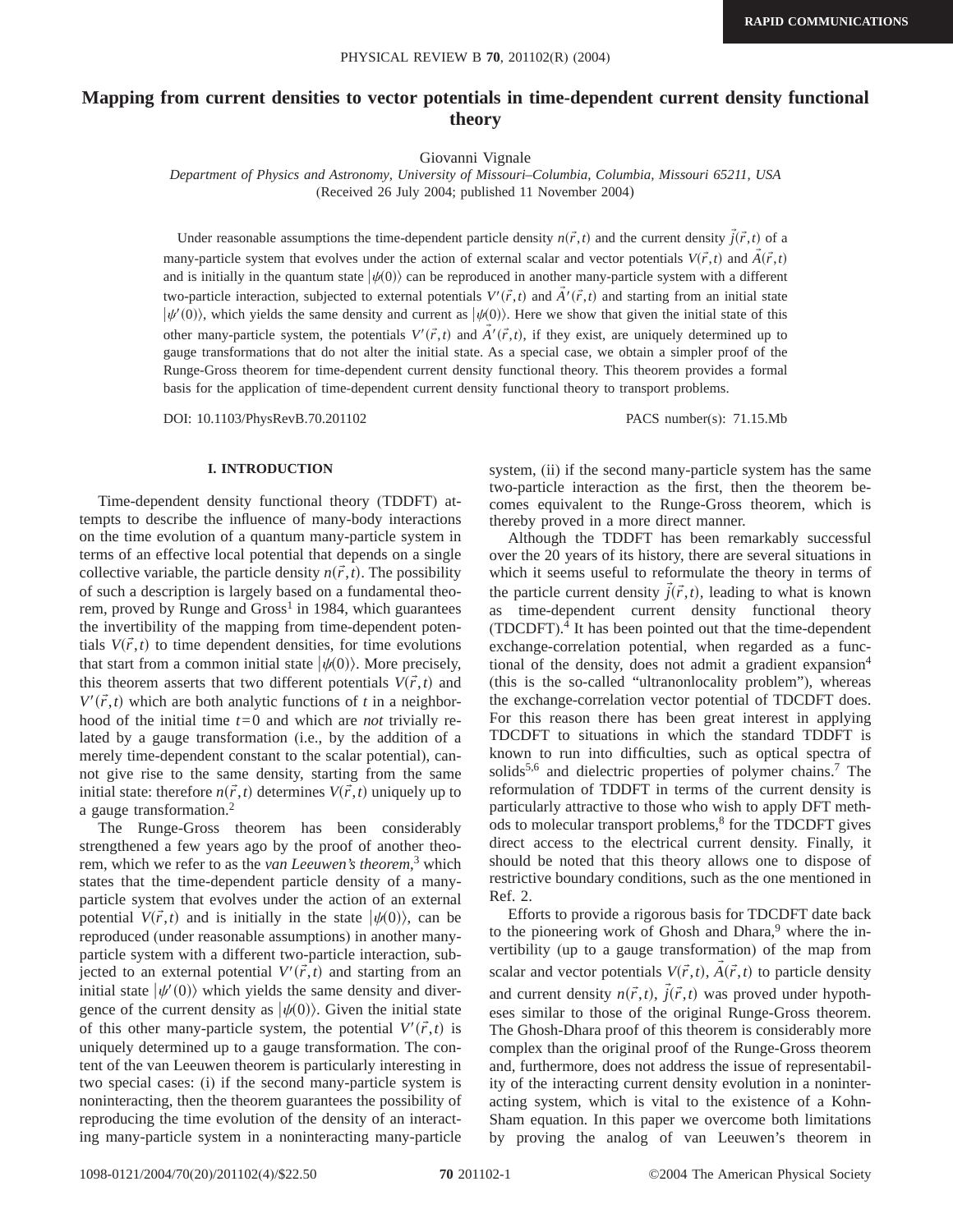# **Mapping from current densities to vector potentials in time-dependent current density functional theory**

Giovanni Vignale

*Department of Physics and Astronomy, University of Missouri–Columbia, Columbia, Missouri 65211, USA* (Received 26 July 2004; published 11 November 2004)

Under reasonable assumptions the time-dependent particle density  $n(\vec{r},t)$  and the current density  $\vec{j}(\vec{r},t)$  of a many-particle system that evolves under the action of external scalar and vector potentials  $V(\vec{r},t)$  and  $\vec{A}(\vec{r},t)$ and is initially in the quantum state  $|\psi(0)\rangle$  can be reproduced in another many-particle system with a different two-particle interaction, subjected to external potentials  $V'(\vec{r},t)$  and  $\vec{A}'(\vec{r},t)$  and starting from an initial state  $|\psi'(0)\rangle$ , which yields the same density and current as  $|\psi(0)\rangle$ . Here we show that given the initial state of this other many-particle system, the potentials  $V'(\vec{r},t)$  and  $\vec{A}'(\vec{r},t)$ , if they exist, are uniquely determined up to gauge transformations that do not alter the initial state. As a special case, we obtain a simpler proof of the Runge-Gross theorem for time-dependent current density functional theory. This theorem provides a formal basis for the application of time-dependent current density functional theory to transport problems.

DOI: 10.1103/PhysRevB.70.201102 PACS number(s): 71.15.Mb

#### **I. INTRODUCTION**

Time-dependent density functional theory (TDDFT) attempts to describe the influence of many-body interactions on the time evolution of a quantum many-particle system in terms of an effective local potential that depends on a single collective variable, the particle density  $n(\vec{r},t)$ . The possibility of such a description is largely based on a fundamental theorem, proved by Runge and  $Gross<sup>1</sup>$  in 1984, which guarantees the invertibility of the mapping from time-dependent potentials  $V(\vec{r},t)$  to time dependent densities, for time evolutions that start from a common initial state  $|\psi(0)\rangle$ . More precisely, this theorem asserts that two different potentials  $V(\vec{r},t)$  and  $V'(\vec{r},t)$  which are both analytic functions of *t* in a neighborhood of the initial time *t*=0 and which are *not* trivially related by a gauge transformation (i.e., by the addition of a merely time-dependent constant to the scalar potential), cannot give rise to the same density, starting from the same initial state: therefore  $n(\vec{r},t)$  determines  $V(\vec{r},t)$  uniquely up to a gauge transformation.2

The Runge-Gross theorem has been considerably strengthened a few years ago by the proof of another theorem, which we refer to as the *van Leeuwen's theorem*, <sup>3</sup> which states that the time-dependent particle density of a manyparticle system that evolves under the action of an external potential  $V(\vec{r},t)$  and is initially in the state  $|\psi(0)\rangle$ , can be reproduced (under reasonable assumptions) in another manyparticle system with a different two-particle interaction, subjected to an external potential  $V'(\vec{r},t)$  and starting from an initial state  $|\psi'(0)\rangle$  which yields the same density and divergence of the current density as  $|\psi(0)\rangle$ . Given the initial state of this other many-particle system, the potential  $V'(\vec{r},t)$  is uniquely determined up to a gauge transformation. The content of the van Leeuwen theorem is particularly interesting in two special cases: (i) if the second many-particle system is noninteracting, then the theorem guarantees the possibility of reproducing the time evolution of the density of an interacting many-particle system in a noninteracting many-particle system, (ii) if the second many-particle system has the same two-particle interaction as the first, then the theorem becomes equivalent to the Runge-Gross theorem, which is thereby proved in a more direct manner.

Although the TDDFT has been remarkably successful over the 20 years of its history, there are several situations in which it seems useful to reformulate the theory in terms of the particle current density  $\vec{j}(\vec{r},t)$ , leading to what is known as time-dependent current density functional theory (TDCDFT). <sup>4</sup> It has been pointed out that the time-dependent exchange-correlation potential, when regarded as a functional of the density, does not admit a gradient expansion<sup>4</sup> (this is the so-called "ultranonlocality problem"), whereas the exchange-correlation vector potential of TDCDFT does. For this reason there has been great interest in applying TDCDFT to situations in which the standard TDDFT is known to run into difficulties, such as optical spectra of solids<sup>5,6</sup> and dielectric properties of polymer chains.<sup>7</sup> The reformulation of TDDFT in terms of the current density is particularly attractive to those who wish to apply DFT methods to molecular transport problems,<sup>8</sup> for the TDCDFT gives direct access to the electrical current density. Finally, it should be noted that this theory allows one to dispose of restrictive boundary conditions, such as the one mentioned in Ref. 2.

Efforts to provide a rigorous basis for TDCDFT date back to the pioneering work of Ghosh and Dhara, $9$  where the invertibility (up to a gauge transformation) of the map from scalar and vector potentials  $V(\vec{r},t)$ ,  $\vec{A}(\vec{r},t)$  to particle density and current density  $n(\vec{r},t)$ ,  $\vec{j}(\vec{r},t)$  was proved under hypotheses similar to those of the original Runge-Gross theorem. The Ghosh-Dhara proof of this theorem is considerably more complex than the original proof of the Runge-Gross theorem and, furthermore, does not address the issue of representability of the interacting current density evolution in a noninteracting system, which is vital to the existence of a Kohn-Sham equation. In this paper we overcome both limitations by proving the analog of van Leeuwen's theorem in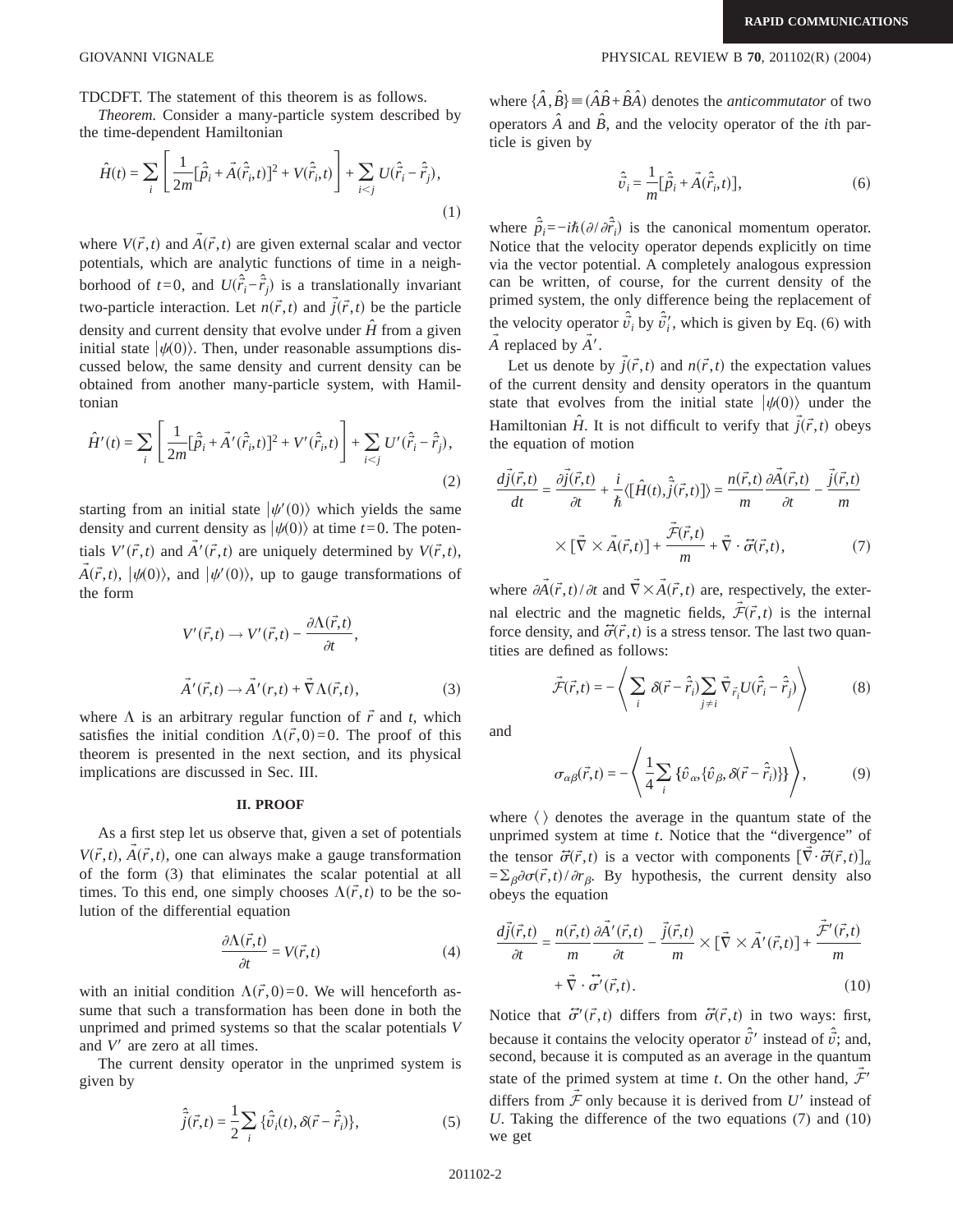TDCDFT. The statement of this theorem is as follows.

*Theorem.* Consider a many-particle system described by the time-dependent Hamiltonian

$$
\hat{H}(t) = \sum_{i} \left[ \frac{1}{2m} [\hat{\vec{p}}_i + \vec{A}(\hat{\vec{r}}_i, t)]^2 + V(\hat{\vec{r}}_i, t) \right] + \sum_{i < j} U(\hat{\vec{r}}_i - \hat{\vec{r}}_j),\tag{1}
$$

where  $V(\vec{r},t)$  and  $\vec{A}(\vec{r},t)$  are given external scalar and vector potentials, which are analytic functions of time in a neighborhood of *t*=0, and  $U(\hat{r}_i - \hat{r}_j)$  is a translationally invariant two-particle interaction. Let  $n(\vec{r},t)$  and  $\vec{j}(\vec{r},t)$  be the particle density and current density that evolve under  $\hat{H}$  from a given initial state  $|\psi(0)\rangle$ . Then, under reasonable assumptions discussed below, the same density and current density can be obtained from another many-particle system, with Hamiltonian

$$
\hat{H}'(t) = \sum_{i} \left[ \frac{1}{2m} [\hat{\vec{p}}_i + \vec{A}'(\hat{\vec{r}}_i, t)]^2 + V'(\hat{\vec{r}}_i, t) \right] + \sum_{i < j} U'(\hat{\vec{r}}_i - \hat{\vec{r}}_j),\tag{2}
$$

starting from an initial state  $|\psi'(0)\rangle$  which yields the same density and current density as  $|\psi(0)\rangle$  at time *t*=0. The potentials  $V'(\vec{r},t)$  and  $\vec{A}'(\vec{r},t)$  are uniquely determined by  $V(\vec{r},t)$ ,  $\vec{A}(\vec{r},t)$ ,  $|\psi(0)\rangle$ , and  $|\psi'(0)\rangle$ , up to gauge transformations of the form

$$
V'(\vec{r},t) \to V'(\vec{r},t) - \frac{\partial \Lambda(\vec{r},t)}{\partial t},
$$
  

$$
\vec{A}'(\vec{r},t) \to \vec{A}'(r,t) + \vec{\nabla}\Lambda(\vec{r},t),
$$
 (3)

where  $\Lambda$  is an arbitrary regular function of  $\vec{r}$  and *t*, which satisfies the initial condition  $\Lambda(\vec{r},0) = 0$ . The proof of this theorem is presented in the next section, and its physical implications are discussed in Sec. III.

### **II. PROOF**

As a first step let us observe that, given a set of potentials  $V(\vec{r},t)$ ,  $\vec{A}(\vec{r},t)$ , one can always make a gauge transformation of the form (3) that eliminates the scalar potential at all times. To this end, one simply chooses  $\Lambda(\vec{r},t)$  to be the solution of the differential equation

$$
\frac{\partial \Lambda(\vec{r},t)}{\partial t} = V(\vec{r},t) \tag{4}
$$

with an initial condition  $\Lambda(\vec{r},0) = 0$ . We will henceforth assume that such a transformation has been done in both the unprimed and primed systems so that the scalar potentials *V* and *V'* are zero at all times.

The current density operator in the unprimed system is given by

$$
\hat{\vec{j}}(\vec{r},t) = \frac{1}{2} \sum_{i} {\hat{\vec{v}}_{i}(t), \delta(\vec{r} - \hat{\vec{r}}_{i})},
$$
\n(5)

where  $\{\hat{A}, \hat{B}\}$  =  $(\hat{A}\hat{B} + \hat{B}\hat{A})$  denotes the *anticommutator* of two operators  $\hat{A}$  and  $\hat{B}$ , and the velocity operator of the *i*th particle is given by

$$
\hat{\vec{v}}_i = \frac{1}{m} [\hat{\vec{p}}_i + \vec{A}(\hat{\vec{r}}_i, t)],
$$
\n(6)

 $\rightarrow$ 

where  $\hat{p}_i = -i\hbar \left( \partial/\partial \hat{r}_i \right)$  is the canonical momentum operator. Notice that the velocity operator depends explicitly on time via the vector potential. A completely analogous expression can be written, of course, for the current density of the primed system, the only difference being the replacement of the velocity operator  $\hat{v}_i$  by  $\hat{v}'_i$ , which is given by Eq. (6) with  $\vec{A}$  replaced by  $\vec{A}'$ .

Let us denote by  $\vec{j}(\vec{r},t)$  and  $n(\vec{r},t)$  the expectation values of the current density and density operators in the quantum state that evolves from the initial state  $|\psi(0)\rangle$  under the Hamiltonian  $\hat{H}$ . It is not difficult to verify that  $\vec{j}(\vec{r},t)$  obeys the equation of motion

$$
\frac{d\vec{j}(\vec{r},t)}{dt} = \frac{\partial \vec{j}(\vec{r},t)}{\partial t} + \frac{i}{\hbar} \langle [\hat{H}(t), \hat{\vec{j}}(\vec{r},t)] \rangle = \frac{n(\vec{r},t)}{m} \frac{\partial \vec{A}(\vec{r},t)}{\partial t} - \frac{\vec{j}(\vec{r},t)}{m}
$$

$$
\times [\vec{\nabla} \times \vec{A}(\vec{r},t)] + \frac{\vec{\mathcal{F}}(\vec{r},t)}{m} + \vec{\nabla} \cdot \vec{\sigma}(\vec{r},t), \tag{7}
$$

where  $\partial \vec{A}(\vec{r},t)/\partial t$  and  $\vec{\nabla} \times \vec{A}(\vec{r},t)$  are, respectively, the external electric and the magnetic fields,  $\mathcal{F}(\vec{r},t)$  is the internal force density, and  $\vec{\sigma}(\vec{r},t)$  is a stress tensor. The last two quantities are defined as follows:

$$
\vec{\mathcal{F}}(\vec{r},t) = -\left\langle \sum_{i} \delta(\vec{r} - \hat{\vec{r}}_{i}) \sum_{j \neq i} \vec{\nabla}_{\vec{r}_{i}} U(\hat{\vec{r}}_{i} - \hat{\vec{r}}_{j}) \right\rangle
$$
(8)

and

$$
\sigma_{\alpha\beta}(\vec{r},t) = -\left\langle \frac{1}{4} \sum_{i} \{ \hat{v}_{\alpha}, \{ \hat{v}_{\beta}, \delta(\vec{r} - \hat{r}_i) \} \} \right\rangle, \tag{9}
$$

where  $\langle \rangle$  denotes the average in the quantum state of the unprimed system at time *t*. Notice that the "divergence" of the tensor  $\vec{\sigma}(\vec{r},t)$  is a vector with components  $[\vec{\nabla}\cdot\vec{\sigma}(\vec{r},t)]_{\alpha}$  $=\sum_{\beta} \partial \sigma(\vec{r},t)/\partial r_{\beta}$ . By hypothesis, the current density also obeys the equation

$$
\frac{d\vec{j}(\vec{r},t)}{\partial t} = \frac{n(\vec{r},t)}{m} \frac{\partial \vec{A}'(\vec{r},t)}{\partial t} - \frac{\vec{j}(\vec{r},t)}{m} \times [\vec{\nabla} \times \vec{A}'(\vec{r},t)] + \frac{\vec{\mathcal{F}}'(\vec{r},t)}{m} + \vec{\nabla} \cdot \vec{\sigma}'(\vec{r},t). \tag{10}
$$

Notice that  $\vec{\sigma}'(\vec{r},t)$  differs from  $\vec{\sigma}(\vec{r},t)$  in two ways: first, because it contains the velocity operator  $\hat{\vec{v}}$  instead of  $\hat{\vec{v}}$ ; and, second, because it is computed as an average in the quantum state of the primed system at time *t*. On the other hand,  $\mathcal{F}'$ differs from  $\mathcal F$  only because it is derived from  $U'$  instead of *U*. Taking the difference of the two equations (7) and (10) we get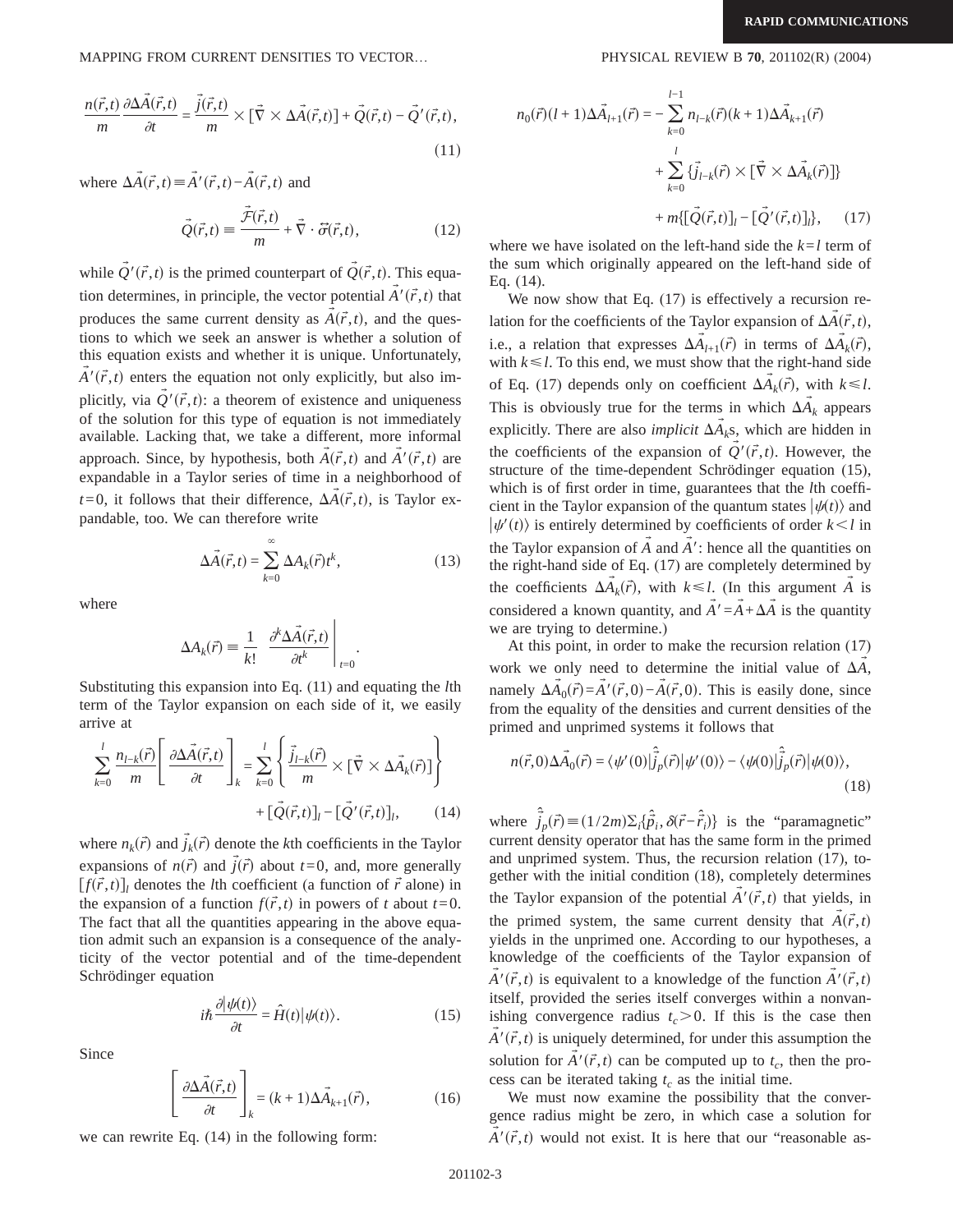MAPPING FROM CURRENT DENSITIES TO VECTOR… PHYSICAL REVIEW B **70**, 201102(R) (2004)

$$
\frac{n(\vec{r},t)}{m} \frac{\partial \Delta \vec{A}(\vec{r},t)}{\partial t} = \frac{\vec{j}(\vec{r},t)}{m} \times [\vec{\nabla} \times \Delta \vec{A}(\vec{r},t)] + \vec{Q}(\vec{r},t) - \vec{Q}'(\vec{r},t),
$$
\n(11)

where  $\Delta \vec{A}(\vec{r},t) = \vec{A}'(\vec{r},t) - \vec{A}(\vec{r},t)$  and

$$
\vec{Q}(\vec{r},t) = \frac{\vec{\mathcal{F}}(\vec{r},t)}{m} + \vec{\nabla} \cdot \vec{\sigma}(\vec{r},t),
$$
\n(12)

while  $\overline{Q}'(\vec{r},t)$  is the primed counterpart of  $\overline{Q}(\vec{r},t)$ . This equation determines, in principle, the vector potential  $\vec{A}'(\vec{r},t)$  that produces the same current density as  $A(\vec{r},t)$ , and the ques- $\rightarrow$ tions to which we seek an answer is whether a solution of this equation exists and whether it is unique. Unfortunately,  $A'(\vec{r},t)$  enters the equation not only explicitly, but also implicitly, via  $Q'(\vec{r},t)$ : a theorem of existence and uniqueness of the solution for this type of equation is not immediately available. Lacking that, we take a different, more informal approach. Since, by hypothesis, both  $A(\vec{r},t)$  and  $A'(\vec{r},t)$  are  $\rightarrow$  $\rightarrow$ expandable in a Taylor series of time in a neighborhood of  $t=0$ , it follows that their difference,  $\Delta \vec{A}(\vec{r},t)$ , is Taylor expandable, too. We can therefore write

$$
\Delta \vec{A}(\vec{r},t) = \sum_{k=0}^{\infty} \Delta A_k(\vec{r}) t^k,
$$
\n(13)

.

where

$$
\Delta A_k(\vec{r}) = \frac{1}{k!} \left. \frac{\partial^k \Delta \vec{A}(\vec{r},t)}{\partial t^k} \right|_{t=0}
$$

Substituting this expansion into Eq. (11) and equating the *l*th term of the Taylor expansion on each side of it, we easily arrive at

$$
\sum_{k=0}^{l} \frac{n_{l-k}(\vec{r})}{m} \left[ \frac{\partial \Delta \vec{A}(\vec{r},t)}{\partial t} \right]_{k} = \sum_{k=0}^{l} \left\{ \frac{\vec{j}_{l-k}(\vec{r})}{m} \times [\vec{\nabla} \times \Delta \vec{A}_{k}(\vec{r})] \right\} + [\vec{Q}(\vec{r},t)]_{l} - [\vec{Q}'(\vec{r},t)]_{l}, \qquad (14)
$$

where  $n_k(\vec{r})$  and  $\vec{j}_k(\vec{r})$  denote the *k*th coefficients in the Taylor expansions of  $n(\vec{r})$  and  $\vec{j}(\vec{r})$  about  $t=0$ , and, more generally  $[f(\vec{r},t)]_i$  denotes the *l*th coefficient (a function of  $\vec{r}$  alone) in the expansion of a function  $f(\vec{r},t)$  in powers of *t* about  $t=0$ . The fact that all the quantities appearing in the above equation admit such an expansion is a consequence of the analyticity of the vector potential and of the time-dependent Schrödinger equation

$$
i\hbar \frac{\partial |\psi(t)\rangle}{\partial t} = \hat{H}(t)|\psi(t)\rangle.
$$
 (15)

Since

$$
\left[\frac{\partial \Delta \vec{A}(\vec{r},t)}{\partial t}\right]_{k} = (k+1)\Delta \vec{A}_{k+1}(\vec{r}),\tag{16}
$$

we can rewrite Eq. (14) in the following form:

$$
n_0(\vec{r})(l+1)\Delta \vec{A}_{l+1}(\vec{r}) = -\sum_{k=0}^{l-1} n_{l-k}(\vec{r})(k+1)\Delta \vec{A}_{k+1}(\vec{r})
$$

$$
+\sum_{k=0}^{l} {\{\vec{j}}_{l-k}(\vec{r})} \times [\vec{\nabla} \times \Delta \vec{A}_{k}(\vec{r})] \} + m\{ [\vec{Q}(\vec{r},t)]_{l} - [\vec{Q}'(\vec{r},t)]_{l} \}, \quad (17)
$$

where we have isolated on the left-hand side the  $k=l$  term of the sum which originally appeared on the left-hand side of Eq. (14).

We now show that Eq.  $(17)$  is effectively a recursion relation for the coefficients of the Taylor expansion of  $\Delta A(\vec{r},t)$ , i.e., a relation that expresses  $\Delta \vec{A}_{l+1}(\vec{r})$  in terms of  $\Delta \vec{A}_k(\vec{r})$ , with  $k \leq l$ . To this end, we must show that the right-hand side of Eq. (17) depends only on coefficient  $\Delta \vec{A}_k(\vec{r})$ , with  $k \leq l$ . This is obviously true for the terms in which  $\Delta \vec{A}_k$  appears explicitly. There are also *implicit*  $\Delta A_k$ s, which are hidden in  $\rightarrow$ the coefficients of the expansion of  $Q'(\vec{r},t)$ . However, the structure of the time-dependent Schrödinger equation (15), which is of first order in time, guarantees that the *l*th coefficient in the Taylor expansion of the quantum states  $|\psi(t)\rangle$  and  $|\psi'(t)\rangle$  is entirely determined by coefficients of order  $k < l$  in the Taylor expansion of  $\vec{A}$  and  $\vec{A}'$ : hence all the quantities on the right-hand side of Eq. (17) are completely determined by the coefficients  $\Delta \vec{A}_k(\vec{r})$ , with  $k \le l$ . (In this argument  $\vec{A}$  is considered a known quantity, and  $\vec{A}' = \vec{A} + \Delta \vec{A}$  is the quantity we are trying to determine.)

At this point, in order to make the recursion relation (17) work we only need to determine the initial value of  $\Delta A$ ,  $\rightarrow$ namely  $\Delta \vec{A}_0(\vec{r}) = \vec{A}'(\vec{r},0) - \vec{A}(\vec{r},0)$ . This is easily done, since from the equality of the densities and current densities of the primed and unprimed systems it follows that

$$
n(\vec{r},0)\Delta\vec{A}_0(\vec{r}) = \langle \psi'(0)|\hat{j}_p(\vec{r})|\psi'(0)\rangle - \langle \psi(0)|\hat{j}_p(\vec{r})|\psi(0)\rangle, \tag{18}
$$

where  $\hat{j}_p(\vec{r}) \equiv (1/2m)\Sigma_i\{\hat{\vec{p}}_i, \delta(\vec{r} - \hat{\vec{r}}_i)\}\$ is the "paramagnetic" current density operator that has the same form in the primed and unprimed system. Thus, the recursion relation (17), together with the initial condition (18), completely determines the Taylor expansion of the potential  $\vec{A}'(\vec{r},t)$  that yields, in the primed system, the same current density that  $A(\vec{r},t)$  $\rightarrow$ yields in the unprimed one. According to our hypotheses, a knowledge of the coefficients of the Taylor expansion of  $A'(\vec{r},t)$  is equivalent to a knowledge of the function  $A'(\vec{r},t)$  $\rightarrow$  $\rightarrow$ itself, provided the series itself converges within a nonvanishing convergence radius  $t_c > 0$ . If this is the case then  $A'(\vec{r},t)$  is uniquely determined, for under this assumption the  $\rightarrow$ solution for  $A'(\vec{r},t)$  can be computed up to  $t_c$ , then the process can be iterated taking  $t_c$  as the initial time.

We must now examine the possibility that the convergence radius might be zero, in which case a solution for  $A'(\vec{r},t)$  would not exist. It is here that our "reasonable as- $\rightarrow$